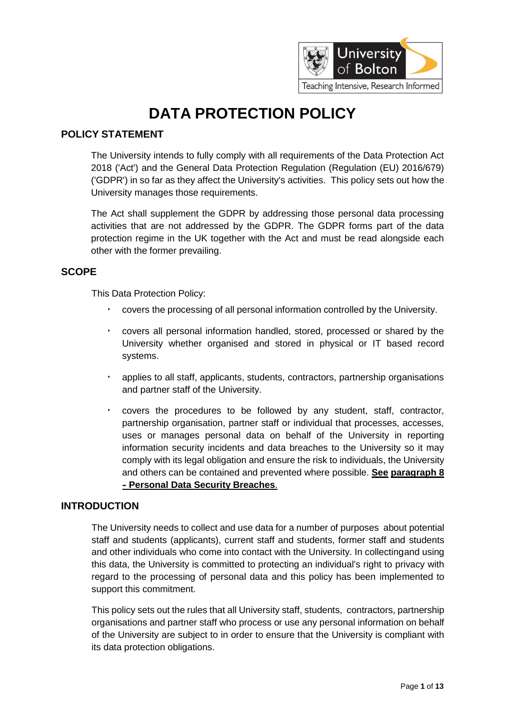

# **DATA PROTECTION POLICY**

## **POLICY STATEMENT**

The University intends to fully comply with all requirements of the Data Protection Act 2018 ('Act') and the General Data Protection Regulation (Regulation (EU) 2016/679) ('GDPR') in so far as they affect the University's activities. This policy sets out how the University manages those requirements.

The Act shall supplement the GDPR by addressing those personal data processing activities that are not addressed by the GDPR. The GDPR forms part of the data protection regime in the UK together with the Act and must be read alongside each other with the former prevailing.

## **SCOPE**

This Data Protection Policy:

- covers the processing of all personal information controlled by the University.
- covers all personal information handled, stored, processed or shared by the University whether organised and stored in physical or IT based record systems.
- applies to all staff, applicants, students, contractors, partnership organisations and partner staff of the University.
- covers the procedures to be followed by any student, staff, contractor, partnership organisation, partner staff or individual that processes, accesses, uses or manages personal data on behalf of the University in reporting information security incidents and data breaches to the University so it may comply with its legal obligation and ensure the risk to individuals, the University and others can be contained and prevented where possible. **See paragraph 8 - Personal Data Security Breaches**.

## **INTRODUCTION**

The University needs to collect and use data for a number of purposes about potential staff and students (applicants), current staff and students, former staff and students and other individuals who come into contact with the University. In collectingand using this data, the University is committed to protecting an individual's right to privacy with regard to the processing of personal data and this policy has been implemented to support this commitment.

This policy sets out the rules that all University staff, students, contractors, partnership organisations and partner staff who process or use any personal information on behalf of the University are subject to in order to ensure that the University is compliant with its data protection obligations.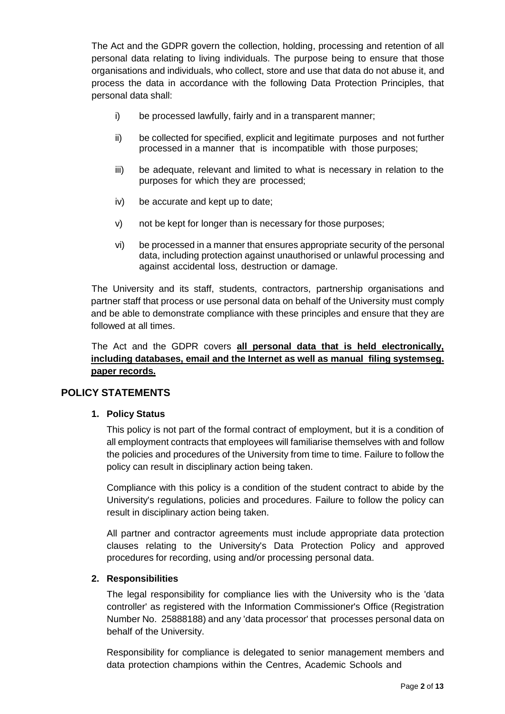The Act and the GDPR govern the collection, holding, processing and retention of all personal data relating to living individuals. The purpose being to ensure that those organisations and individuals, who collect, store and use that data do not abuse it, and process the data in accordance with the following Data Protection Principles, that personal data shall:

- i) be processed lawfully, fairly and in a transparent manner;
- ii) be collected for specified, explicit and legitimate purposes and not further processed in a manner that is incompatible with those purposes;
- iii) be adequate, relevant and limited to what is necessary in relation to the purposes for which they are processed;
- iv) be accurate and kept up to date;
- v) not be kept for longer than is necessary for those purposes;
- vi) be processed in a manner that ensures appropriate security of the personal data, including protection against unauthorised or unlawful processing and against accidental loss, destruction or damage.

The University and its staff, students, contractors, partnership organisations and partner staff that process or use personal data on behalf of the University must comply and be able to demonstrate compliance with these principles and ensure that they are followed at all times.

The Act and the GDPR covers **all personal data that is held electronically, including databases, email and the Internet as well as manual filing systemseg. paper records.**

## **POLICY STATEMENTS**

## **1. Policy Status**

This policy is not part of the formal contract of employment, but it is a condition of all employment contracts that employees will familiarise themselves with and follow the policies and procedures of the University from time to time. Failure to follow the policy can result in disciplinary action being taken.

Compliance with this policy is a condition of the student contract to abide by the University's regulations, policies and procedures. Failure to follow the policy can result in disciplinary action being taken.

All partner and contractor agreements must include appropriate data protection clauses relating to the University's Data Protection Policy and approved procedures for recording, using and/or processing personal data.

## **2. Responsibilities**

The legal responsibility for compliance lies with the University who is the 'data controller' as registered with the Information Commissioner's Office (Registration Number No. 25888188) and any 'data processor' that processes personal data on behalf of the University.

Responsibility for compliance is delegated to senior management members and data protection champions within the Centres, Academic Schools and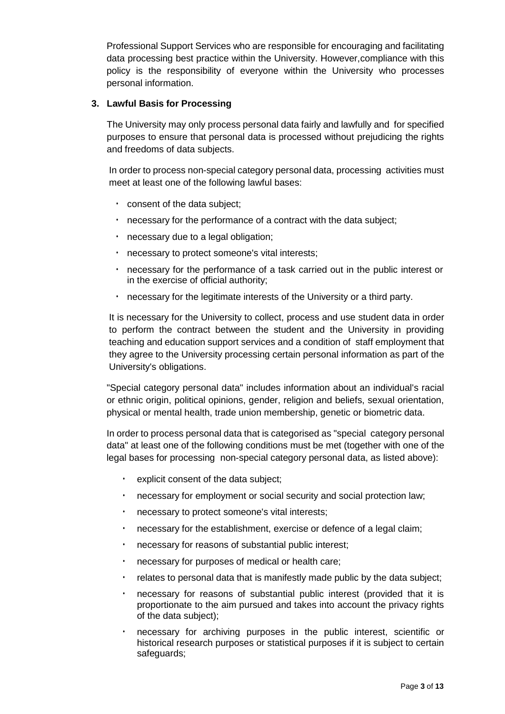Professional Support Services who are responsible for encouraging and facilitating data processing best practice within the University. However,compliance with this policy is the responsibility of everyone within the University who processes personal information.

#### **3. Lawful Basis for Processing**

The University may only process personal data fairly and lawfully and for specified purposes to ensure that personal data is processed without prejudicing the rights and freedoms of data subjects.

In order to process non-special category personal data, processing activities must meet at least one of the following lawful bases:

- consent of the data subject;
- necessary for the performance of a contract with the data subject;
- necessary due to a legal obligation;
- necessary to protect someone's vital interests;
- necessary for the performance of a task carried out in the public interest or in the exercise of official authority;
- necessary for the legitimate interests of the University or a third party.

It is necessary for the University to collect, process and use student data in order to perform the contract between the student and the University in providing teaching and education support services and a condition of staff employment that they agree to the University processing certain personal information as part of the University's obligations.

"Special category personal data" includes information about an individual's racial or ethnic origin, political opinions, gender, religion and beliefs, sexual orientation, physical or mental health, trade union membership, genetic or biometric data.

In order to process personal data that is categorised as "special category personal data" at least one of the following conditions must be met (together with one of the legal bases for processing non-special category personal data, as listed above):

- explicit consent of the data subject;
- necessary for employment or social security and social protection law;
- necessary to protect someone's vital interests;
- necessary for the establishment, exercise or defence of a legal claim;
- necessary for reasons of substantial public interest;
- necessary for purposes of medical or health care;
- relates to personal data that is manifestly made public by the data subject;
- necessary for reasons of substantial public interest (provided that it is proportionate to the aim pursued and takes into account the privacy rights of the data subject);
- necessary for archiving purposes in the public interest, scientific or historical research purposes or statistical purposes if it is subject to certain safeguards;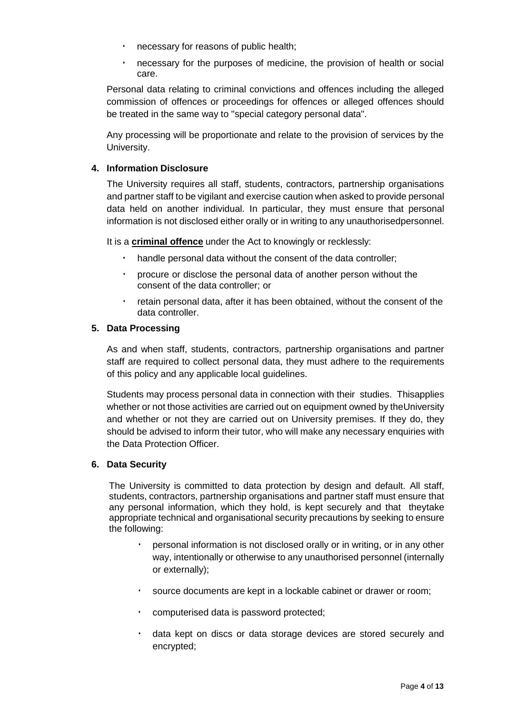- necessary for reasons of public health;
- necessary for the purposes of medicine, the provision of health or social care.

Personal data relating to criminal convictions and offences including the alleged commission of offences or proceedings for offences or alleged offences should be treated in the same way to "special category personal data".

Any processing will be proportionate and relate to the provision of services by the University.

## **4. Information Disclosure**

The University requires all staff, students, contractors, partnership organisations and partner staff to be vigilant and exercise caution when asked to provide personal data held on another individual. In particular, they must ensure that personal information is not disclosed either orally or in writing to any unauthorisedpersonnel.

It is a **criminal offence** under the Act to knowingly or recklessly:

- handle personal data without the consent of the data controller;
- procure or disclose the personal data of another person without the consent of the data controller; or
- retain personal data, after it has been obtained, without the consent of the data controller.

## **5. Data Processing**

As and when staff, students, contractors, partnership organisations and partner staff are required to collect personal data, they must adhere to the requirements of this policy and any applicable local guidelines.

Students may process personal data in connection with their studies. Thisapplies whether or not those activities are carried out on equipment owned by theUniversity and whether or not they are carried out on University premises. If they do, they should be advised to inform their tutor, who will make any necessary enquiries with the Data Protection Officer.

## **6. Data Security**

The University is committed to data protection by design and default. All staff, students, contractors, partnership organisations and partner staff must ensure that any personal information, which they hold, is kept securely and that theytake appropriate technical and organisational security precautions by seeking to ensure the following:

- personal information is not disclosed orally or in writing, or in any other way, intentionally or otherwise to any unauthorised personnel (internally or externally);
- source documents are kept in a lockable cabinet or drawer or room;
- computerised data is password protected;
- data kept on discs or data storage devices are stored securely and encrypted;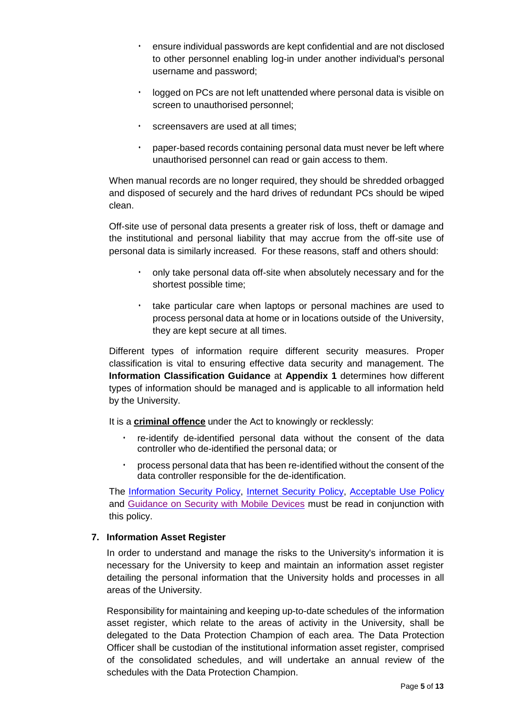- ensure individual passwords are kept confidential and are not disclosed to other personnel enabling log-in under another individual's personal username and password;
- logged on PCs are not left unattended where personal data is visible on screen to unauthorised personnel;
- screensavers are used at all times:
- paper-based records containing personal data must never be left where unauthorised personnel can read or gain access to them.

When manual records are no longer required, they should be shredded orbagged and disposed of securely and the hard drives of redundant PCs should be wiped clean.

Off-site use of personal data presents a greater risk of loss, theft or damage and the institutional and personal liability that may accrue from the off-site use of personal data is similarly increased. For these reasons, staff and others should:

- only take personal data off-site when absolutely necessary and for the shortest possible time;
- take particular care when laptops or personal machines are used to process personal data at home or in locations outside of the University, they are kept secure at all times.

Different types of information require different security measures. Proper classification is vital to ensuring effective data security and management. The **Information Classification Guidance** at **Appendix 1** determines how different types of information should be managed and is applicable to all information held by the University.

It is a **criminal offence** under the Act to knowingly or recklessly:

- re-identify de-identified personal data without the consent of the data controller who de-identified the personal data; or
- process personal data that has been re-identified without the consent of the data controller responsible for the de-identification.

The [Information Security Policy, Internet Security Policy,](https://www.bolton.ac.uk/assets/Uploads/Information-Security-Policy-2021-22.pdf) [Acceptable Use Policy](https://www.bolton.ac.uk/assets/Uploads/Student-Acceptable-Use-Policy-2021-22.pdf) and [Guidance on Security with Mobile Devices](https://www.bolton.ac.uk/assets/Uploads/Regulations-for-the-use-of-Computer-Facilities-2020-21.pdf) must be read in conjunction with this policy.

## **7. Information Asset Register**

In order to understand and manage the risks to the University's information it is necessary for the University to keep and maintain an information asset register detailing the personal information that the University holds and processes in all areas of the University.

Responsibility for maintaining and keeping up-to-date schedules of the information asset register, which relate to the areas of activity in the University, shall be delegated to the Data Protection Champion of each area. The Data Protection Officer shall be custodian of the institutional information asset register, comprised of the consolidated schedules, and will undertake an annual review of the schedules with the Data Protection Champion.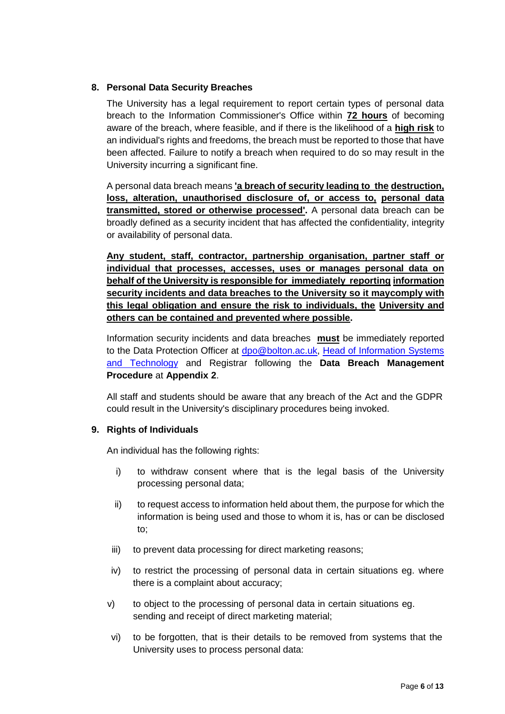## **8. Personal Data Security Breaches**

The University has a legal requirement to report certain types of personal data breach to the Information Commissioner's Office within **72 hours** of becoming aware of the breach, where feasible, and if there is the likelihood of a **high risk** to an individual's rights and freedoms, the breach must be reported to those that have been affected. Failure to notify a breach when required to do so may result in the University incurring a significant fine.

A personal data breach means **'a breach of security leading to the destruction, loss, alteration, unauthorised disclosure of, or access to, personal data transmitted, stored or otherwise processed'.** A personal data breach can be broadly defined as a security incident that has affected the confidentiality, integrity or availability of personal data.

**Any student, staff, contractor, partnership organisation, partner staff or individual that processes, accesses, uses or manages personal data on behalf of the University is responsible for immediately reporting information security incidents and data breaches to the University so it maycomply with this legal obligation and ensure the risk to individuals, the University and others can be contained and prevented where possible.**

Information security incidents and data breaches **must** be immediately reported to the Data Protection Officer at [dpo@bolton.ac.uk, H](mailto:dpo@bolton.ac.uk)ead of Information Systems and Technology and Registrar following the **Data Breach Management Procedure** at **Appendix 2**.

All staff and students should be aware that any breach of the Act and the GDPR could result in the University's disciplinary procedures being invoked.

## **9. Rights of Individuals**

An individual has the following rights:

- i) to withdraw consent where that is the legal basis of the University processing personal data;
- ii) to request access to information held about them, the purpose for which the information is being used and those to whom it is, has or can be disclosed to;
- iii) to prevent data processing for direct marketing reasons;
- iv) to restrict the processing of personal data in certain situations eg. where there is a complaint about accuracy;
- v) to object to the processing of personal data in certain situations eg. sending and receipt of direct marketing material;
- vi) to be forgotten, that is their details to be removed from systems that the University uses to process personal data: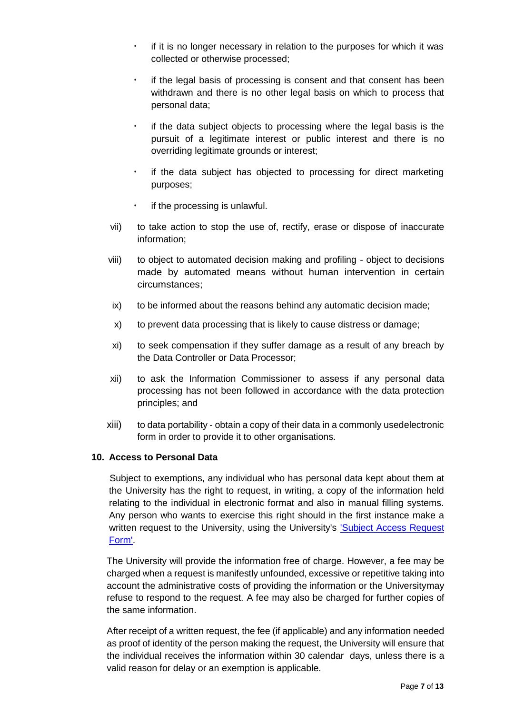- if it is no longer necessary in relation to the purposes for which it was collected or otherwise processed;
- if the legal basis of processing is consent and that consent has been withdrawn and there is no other legal basis on which to process that personal data;
- if the data subject objects to processing where the legal basis is the pursuit of a legitimate interest or public interest and there is no overriding legitimate grounds or interest;
- if the data subject has objected to processing for direct marketing purposes;
- if the processing is unlawful.
- vii) to take action to stop the use of, rectify, erase or dispose of inaccurate information;
- viii) to object to automated decision making and profiling object to decisions made by automated means without human intervention in certain circumstances;
- ix) to be informed about the reasons behind any automatic decision made;
- x) to prevent data processing that is likely to cause distress or damage;
- xi) to seek compensation if they suffer damage as a result of any breach by the Data Controller or Data Processor;
- xii) to ask the Information Commissioner to assess if any personal data processing has not been followed in accordance with the data protection principles; and
- xiii) to data portability obtain a copy of their data in a commonly usedelectronic form in order to provide it to other organisations.

## **10. Access to Personal Data**

Subject to exemptions, any individual who has personal data kept about them at the University has the right to request, in writing, a copy of the information held relating to the individual in electronic format and also in manual filling systems. Any person who wants to exercise this right should in the first instance make a written request to the University, using the University's **Subject Access Request** [Form'.](https://www.bolton.ac.uk/assets/Uploads/Subject-Access-Request-Form-2019-22.pdf)

The University will provide the information free of charge. However, a fee may be charged when a request is manifestly unfounded, excessive or repetitive taking into account the administrative costs of providing the information or the Universitymay refuse to respond to the request. A fee may also be charged for further copies of the same information.

After receipt of a written request, the fee (if applicable) and any information needed as proof of identity of the person making the request, the University will ensure that the individual receives the information within 30 calendar days, unless there is a valid reason for delay or an exemption is applicable.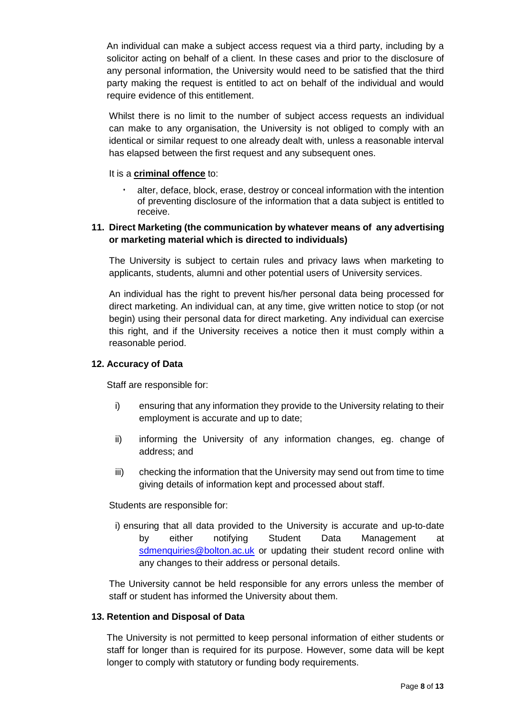An individual can make a subject access request via a third party, including by a solicitor acting on behalf of a client. In these cases and prior to the disclosure of any personal information, the University would need to be satisfied that the third party making the request is entitled to act on behalf of the individual and would require evidence of this entitlement.

Whilst there is no limit to the number of subject access requests an individual can make to any organisation, the University is not obliged to comply with an identical or similar request to one already dealt with, unless a reasonable interval has elapsed between the first request and any subsequent ones.

It is a **criminal offence** to:

• alter, deface, block, erase, destroy or conceal information with the intention of preventing disclosure of the information that a data subject is entitled to receive.

## **11. Direct Marketing (the communication by whatever means of any advertising or marketing material which is directed to individuals)**

The University is subject to certain rules and privacy laws when marketing to applicants, students, alumni and other potential users of University services.

An individual has the right to prevent his/her personal data being processed for direct marketing. An individual can, at any time, give written notice to stop (or not begin) using their personal data for direct marketing. Any individual can exercise this right, and if the University receives a notice then it must comply within a reasonable period.

## **12. Accuracy of Data**

Staff are responsible for:

- i) ensuring that any information they provide to the University relating to their employment is accurate and up to date;
- ii) informing the University of any information changes, eg. change of address; and
- iii) checking the information that the University may send out from time to time giving details of information kept and processed about staff.

Students are responsible for:

i) ensuring that all data provided to the University is accurate and up-to-date by either notifying Student Data Management at [sdmenquiries@bolton.ac.uk](mailto:sdmenquiries@bolton.ac.uk) or updating their student record online with any changes to their address or personal details.

The University cannot be held responsible for any errors unless the member of staff or student has informed the University about them.

## **13. Retention and Disposal of Data**

The University is not permitted to keep personal information of either students or staff for longer than is required for its purpose. However, some data will be kept longer to comply with statutory or funding body requirements.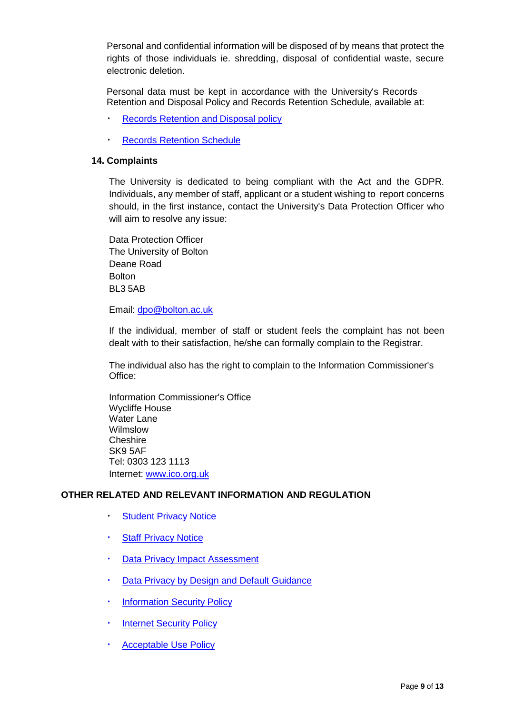Personal and confidential information will be disposed of by means that protect the rights of those individuals ie. shredding, disposal of confidential waste, secure electronic deletion.

Personal data must be kept in accordance with the University's Records Retention and Disposal Policy and Records Retention Schedule, available at:

- Records [Retention](https://www.bolton.ac.uk/assets/Uploads/Records-Retention-and-Disposal-Policy-April-2018.pdf) and Disposal policy
- Records [Retention](https://www.bolton.ac.uk/assets/Uploads/Records-Retention-Schedule-August-2018.pdf) Schedule

#### **14. Complaints**

The University is dedicated to being compliant with the Act and the GDPR. Individuals, any member of staff, applicant or a student wishing to report concerns should, in the first instance, contact the University's Data Protection Officer who will aim to resolve any issue:

Data Protection Officer The University of Bolton Deane Road Bolton BL3 5AB

Email: [dpo@bolton.ac.uk](mailto:dpo@bolton.ac.uk)

If the individual, member of staff or student feels the complaint has not been dealt with to their satisfaction, he/she can formally complain to the Registrar.

The individual also has the right to complain to the Information Commissioner's Office:

Information Commissioner's Office Wycliffe House Water Lane Wilmslow **Cheshire** SK9 5AF Tel: 0303 123 1113 Internet: [www.ico.org.uk](http://www.ico.org.uk/)

#### **OTHER RELATED AND RELEVANT INFORMATION AND REGULATION**

- [Student](https://www.bolton.ac.uk/assets/Uploads/STUDENT-PRIVACY-NOTICE-June-2019-3.pdf) Privacy Notice
- **Staff [Privacy](https://www.bolton.ac.uk/assets/Uploads/STAFF-PRIVACY-NOTICE-Feb-2019-1.pdf) Notice**
- Data Privacy Impact [Assessment](https://www.bolton.ac.uk/assets/Uploads/Data-Privacy-Impact-Assessment-Guidance-Jan-2018.pdf)
- [Data Privacy](https://www.bolton.ac.uk/assets/Uploads/Data-Privacy-by-Design-and-Default-Guidance-June-2019.pdf) by Design and Default Guidance
- [Information](https://www.bolton.ac.uk/assets/Uploads/Information-Security-Policy-2021-22.pdf) Security Policy
- **Internet [Security](https://www.bolton.ac.uk/assets/Uploads/Information-Security-Policy-2021-22.pdf) Policy**
- [Acceptable](https://www.bolton.ac.uk/assets/Uploads/Student-Acceptable-Use-Policy-2021-22.pdf) Use Policy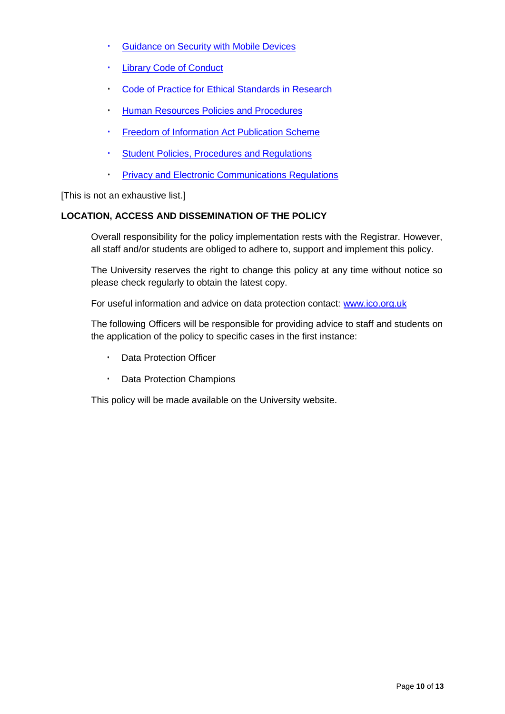- [Guidance](https://www.bolton.ac.uk/assets/Uploads/Regulations-for-the-use-of-Computer-Facilities-2020-21.pdf) on Security with Mobile Devices
- Library Code [of Conduct](https://www.bolton.ac.uk/assets/Uploads/Library-Code-of-Conduct-2021-22.pdf)
- Code of Practice for Ethical [Standards](https://www.bolton.ac.uk/assets/Uploads/Code-of-practice-April-2019.pdf) in Research
- Human Resources Policies and [Procedures](https://www.bolton.ac.uk/staff-area/professional-services/about-hr/hr-a-to-z/)
- Freedom of Information [Act Publication](https://www.bolton.ac.uk/freedom-of-information/) Scheme
- Student Policies, [Procedures and](https://www.bolton.ac.uk/student-policy-zone/student-policy-zone-2021-2022) Regulations
- [Privacy and Electronic Communications Regulations](https://www.bolton.ac.uk/assets/Uploads/UoB-Privacy-Notice-Connect-Dec-2019.pdf)

[This is not an exhaustive list.]

## **LOCATION, ACCESS AND DISSEMINATION OF THE POLICY**

Overall responsibility for the policy implementation rests with the Registrar. However, all staff and/or students are obliged to adhere to, support and implement this policy.

The University reserves the right to change this policy at any time without notice so please check regularly to obtain the latest copy.

For useful information and advice on data protection contact: [www.ico.org.uk](http://www.ico.org.uk/)

The following Officers will be responsible for providing advice to staff and students on the application of the policy to specific cases in the first instance:

- Data Protection Officer
- Data Protection Champions

This policy will be made available on the University website.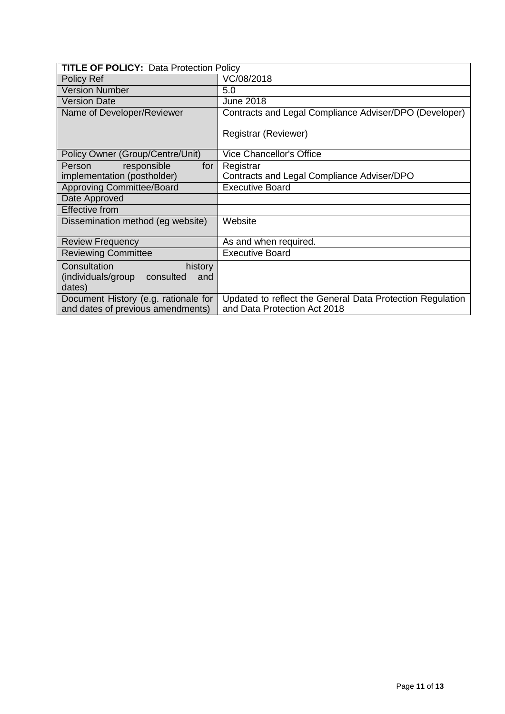| <b>TITLE OF POLICY: Data Protection Policy</b> |                                                           |
|------------------------------------------------|-----------------------------------------------------------|
| Policy Ref                                     | VC/08/2018                                                |
| <b>Version Number</b>                          | 5.0                                                       |
| <b>Version Date</b>                            | <b>June 2018</b>                                          |
| Name of Developer/Reviewer                     | Contracts and Legal Compliance Adviser/DPO (Developer)    |
|                                                | Registrar (Reviewer)                                      |
| Policy Owner (Group/Centre/Unit)               | <b>Vice Chancellor's Office</b>                           |
| responsible<br>Person<br>for                   | Registrar                                                 |
| implementation (postholder)                    | Contracts and Legal Compliance Adviser/DPO                |
| <b>Approving Committee/Board</b>               | <b>Executive Board</b>                                    |
| Date Approved                                  |                                                           |
| <b>Effective from</b>                          |                                                           |
| Dissemination method (eg website)              | Website                                                   |
| <b>Review Frequency</b>                        | As and when required.                                     |
| <b>Reviewing Committee</b>                     | <b>Executive Board</b>                                    |
| Consultation<br>history                        |                                                           |
| (individuals/group consulted<br>and<br>dates)  |                                                           |
| Document History (e.g. rationale for           | Updated to reflect the General Data Protection Regulation |
| and dates of previous amendments)              | and Data Protection Act 2018                              |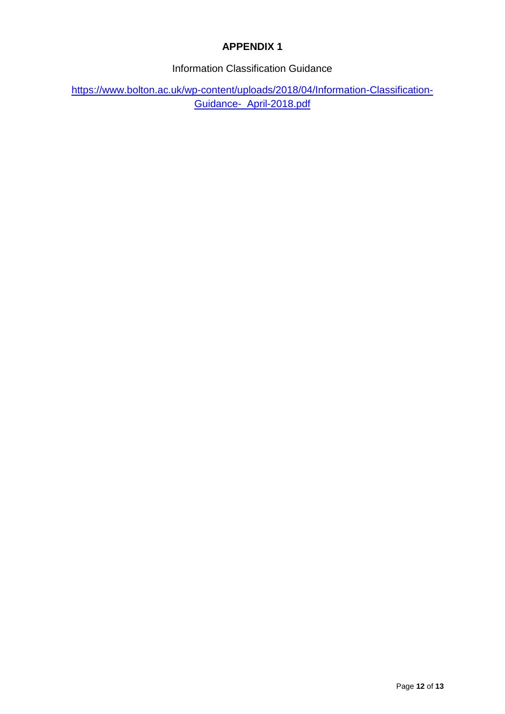# **APPENDIX 1**

Information Classification Guidance

https:/[/www.bolton.ac.uk/wp-content/uploads/2018/04/Information-Classification-](https://www.bolton.ac.uk/assets/Uploads/Information-Classification-Guidance-April-2018.pdf)[Guidance-\\_April-2018.pdf](https://www.bolton.ac.uk/assets/Uploads/Information-Classification-Guidance-April-2018.pdf)